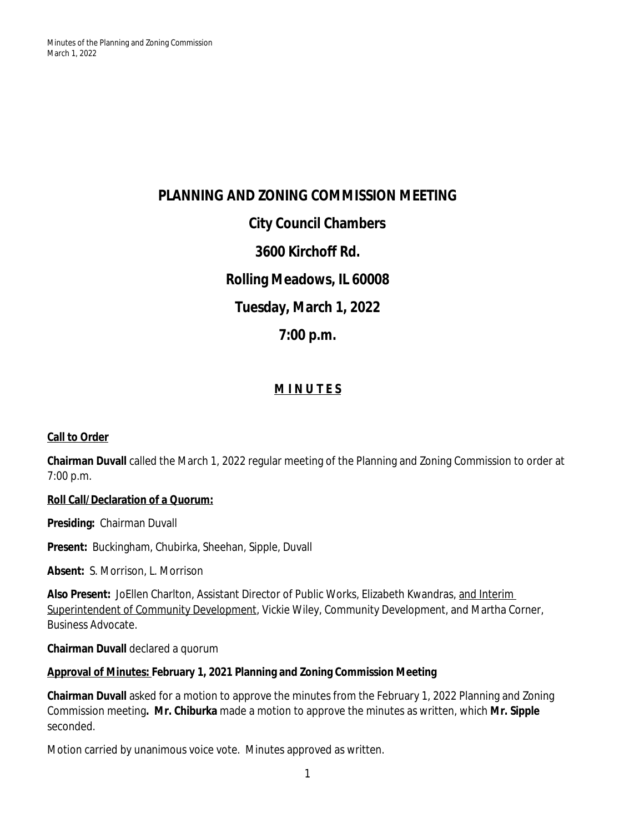**PLANNING AND ZONING COMMISSION MEETING City Council Chambers 3600 Kirchoff Rd. Rolling Meadows, IL 60008 Tuesday, March 1, 2022 7:00 p.m.**

# **M I N U T E S**

## **Call to Order**

**Chairman Duvall** called the March 1, 2022 regular meeting of the Planning and Zoning Commission to order at 7:00 p.m.

### **Roll Call/Declaration of a Quorum:**

**Presiding:** Chairman Duvall

**Present:** Buckingham, Chubirka, Sheehan, Sipple, Duvall

**Absent:** S. Morrison, L. Morrison

**Also Present:** JoEllen Charlton, Assistant Director of Public Works, Elizabeth Kwandras, and Interim Superintendent of Community Development, Vickie Wiley, Community Development, and Martha Corner, Business Advocate.

**Chairman Duvall** declared a quorum

### **Approval of Minutes: February 1, 2021 Planning and Zoning Commission Meeting**

**Chairman Duvall** asked for a motion to approve the minutes from the February 1, 2022 Planning and Zoning Commission meeting**. Mr. Chiburka** made a motion to approve the minutes as written, which **Mr. Sipple** seconded.

Motion carried by unanimous voice vote. Minutes approved as written.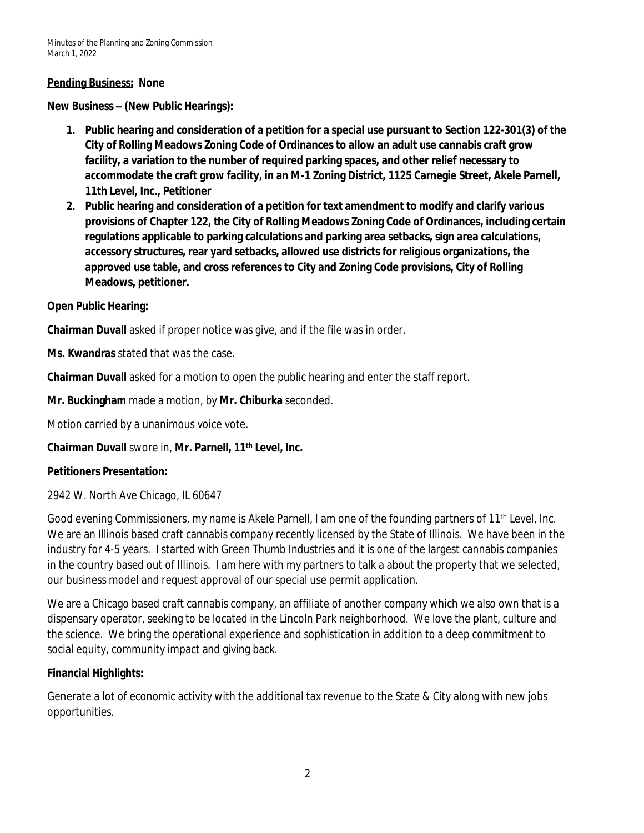### **Pending Business: None**

**New Business – (New Public Hearings):**

- **1. Public hearing and consideration of a petition for a special use pursuant to Section 122-301(3) of the City of Rolling Meadows Zoning Code of Ordinances to allow an adult use cannabis craft grow facility, a variation to the number of required parking spaces, and other relief necessary to accommodate the craft grow facility, in an M-1 Zoning District, 1125 Carnegie Street, Akele Parnell, 11th Level, Inc., Petitioner**
- **2. Public hearing and consideration of a petition for text amendment to modify and clarify various provisions of Chapter 122, the City of Rolling Meadows Zoning Code of Ordinances, including certain regulations applicable to parking calculations and parking area setbacks, sign area calculations, accessory structures, rear yard setbacks, allowed use districts for religious organizations, the approved use table, and cross references to City and Zoning Code provisions, City of Rolling Meadows, petitioner.**

### **Open Public Hearing:**

**Chairman Duvall** asked if proper notice was give, and if the file was in order.

**Ms. Kwandras** stated that was the case.

**Chairman Duvall** asked for a motion to open the public hearing and enter the staff report.

**Mr. Buckingham** made a motion, by **Mr. Chiburka** seconded.

Motion carried by a unanimous voice vote.

**Chairman Duvall** swore in, **Mr. Parnell, 11th Level, Inc.**

### **Petitioners Presentation:**

2942 W. North Ave Chicago, IL 60647

Good evening Commissioners, my name is Akele Parnell, I am one of the founding partners of 11<sup>th</sup> Level, Inc. We are an Illinois based craft cannabis company recently licensed by the State of Illinois. We have been in the industry for 4-5 years. I started with Green Thumb Industries and it is one of the largest cannabis companies in the country based out of Illinois. I am here with my partners to talk a about the property that we selected, our business model and request approval of our special use permit application.

We are a Chicago based craft cannabis company, an affiliate of another company which we also own that is a dispensary operator, seeking to be located in the Lincoln Park neighborhood. We love the plant, culture and the science. We bring the operational experience and sophistication in addition to a deep commitment to social equity, community impact and giving back.

### **Financial Highlights:**

Generate a lot of economic activity with the additional tax revenue to the State & City along with new jobs opportunities.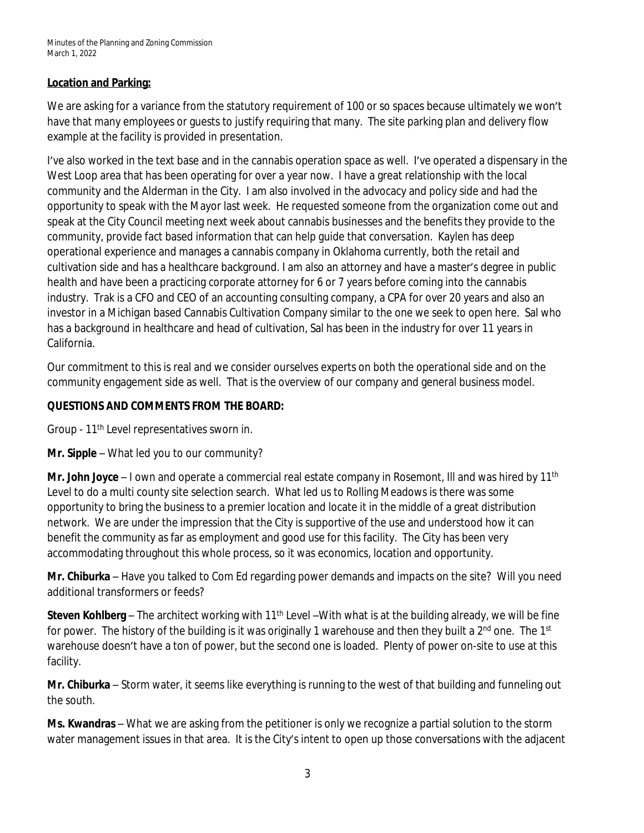## **Location and Parking:**

We are asking for a variance from the statutory requirement of 100 or so spaces because ultimately we won't have that many employees or guests to justify requiring that many. The site parking plan and delivery flow example at the facility is provided in presentation.

I've also worked in the text base and in the cannabis operation space as well. I've operated a dispensary in the West Loop area that has been operating for over a year now. I have a great relationship with the local community and the Alderman in the City. I am also involved in the advocacy and policy side and had the opportunity to speak with the Mayor last week. He requested someone from the organization come out and speak at the City Council meeting next week about cannabis businesses and the benefits they provide to the community, provide fact based information that can help guide that conversation. Kaylen has deep operational experience and manages a cannabis company in Oklahoma currently, both the retail and cultivation side and has a healthcare background. I am also an attorney and have a master's degree in public health and have been a practicing corporate attorney for 6 or 7 years before coming into the cannabis industry. Trak is a CFO and CEO of an accounting consulting company, a CPA for over 20 years and also an investor in a Michigan based Cannabis Cultivation Company similar to the one we seek to open here. Sal who has a background in healthcare and head of cultivation, Sal has been in the industry for over 11 years in California.

Our commitment to this is real and we consider ourselves experts on both the operational side and on the community engagement side as well. That is the overview of our company and general business model.

## **QUESTIONS AND COMMENTS FROM THE BOARD:**

Group - 11<sup>th</sup> Level representatives sworn in.

**Mr. Sipple** – What led you to our community?

**Mr. John Joyce** – I own and operate a commercial real estate company in Rosemont, Ill and was hired by 11th Level to do a multi county site selection search. What led us to Rolling Meadows is there was some opportunity to bring the business to a premier location and locate it in the middle of a great distribution network. We are under the impression that the City is supportive of the use and understood how it can benefit the community as far as employment and good use for this facility. The City has been very accommodating throughout this whole process, so it was economics, location and opportunity.

**Mr. Chiburka** – Have you talked to Com Ed regarding power demands and impacts on the site? Will you need additional transformers or feeds?

**Steven Kohlberg** – The architect working with 11<sup>th</sup> Level –With what is at the building already, we will be fine for power. The history of the building is it was originally 1 warehouse and then they built a 2<sup>nd</sup> one. The 1<sup>st</sup> warehouse doesn't have a ton of power, but the second one is loaded. Plenty of power on-site to use at this facility.

**Mr. Chiburka** – Storm water, it seems like everything is running to the west of that building and funneling out the south.

**Ms. Kwandras** – What we are asking from the petitioner is only we recognize a partial solution to the storm water management issues in that area. It is the City's intent to open up those conversations with the adjacent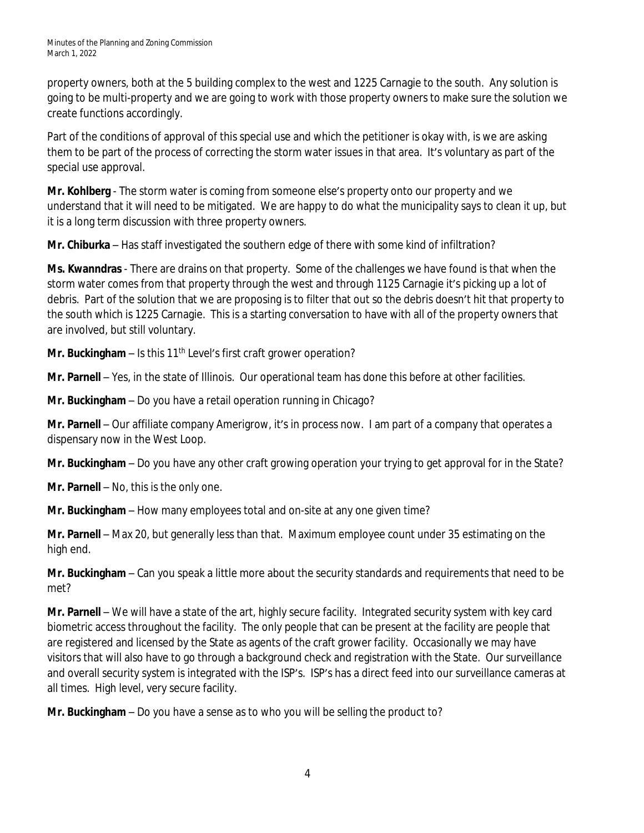property owners, both at the 5 building complex to the west and 1225 Carnagie to the south. Any solution is going to be multi-property and we are going to work with those property owners to make sure the solution we create functions accordingly.

Part of the conditions of approval of this special use and which the petitioner is okay with, is we are asking them to be part of the process of correcting the storm water issues in that area. It's voluntary as part of the special use approval.

**Mr. Kohlberg** - The storm water is coming from someone else's property onto our property and we understand that it will need to be mitigated. We are happy to do what the municipality says to clean it up, but it is a long term discussion with three property owners.

**Mr. Chiburka** – Has staff investigated the southern edge of there with some kind of infiltration?

**Ms. Kwanndras** - There are drains on that property. Some of the challenges we have found is that when the storm water comes from that property through the west and through 1125 Carnagie it's picking up a lot of debris. Part of the solution that we are proposing is to filter that out so the debris doesn't hit that property to the south which is 1225 Carnagie. This is a starting conversation to have with all of the property owners that are involved, but still voluntary.

**Mr. Buckingham** – Is this 11<sup>th</sup> Level's first craft grower operation?

**Mr. Parnell** – Yes, in the state of Illinois. Our operational team has done this before at other facilities.

**Mr. Buckingham** – Do you have a retail operation running in Chicago?

**Mr. Parnell** – Our affiliate company Amerigrow, it's in process now. I am part of a company that operates a dispensary now in the West Loop.

**Mr. Buckingham** – Do you have any other craft growing operation your trying to get approval for in the State?

**Mr. Parnell** – No, this is the only one.

**Mr. Buckingham** – How many employees total and on-site at any one given time?

**Mr. Parnell** – Max 20, but generally less than that. Maximum employee count under 35 estimating on the high end.

**Mr. Buckingham** – Can you speak a little more about the security standards and requirements that need to be met?

**Mr. Parnell** – We will have a state of the art, highly secure facility. Integrated security system with key card biometric access throughout the facility. The only people that can be present at the facility are people that are registered and licensed by the State as agents of the craft grower facility. Occasionally we may have visitors that will also have to go through a background check and registration with the State. Our surveillance and overall security system is integrated with the ISP's. ISP's has a direct feed into our surveillance cameras at all times. High level, very secure facility.

**Mr. Buckingham** – Do you have a sense as to who you will be selling the product to?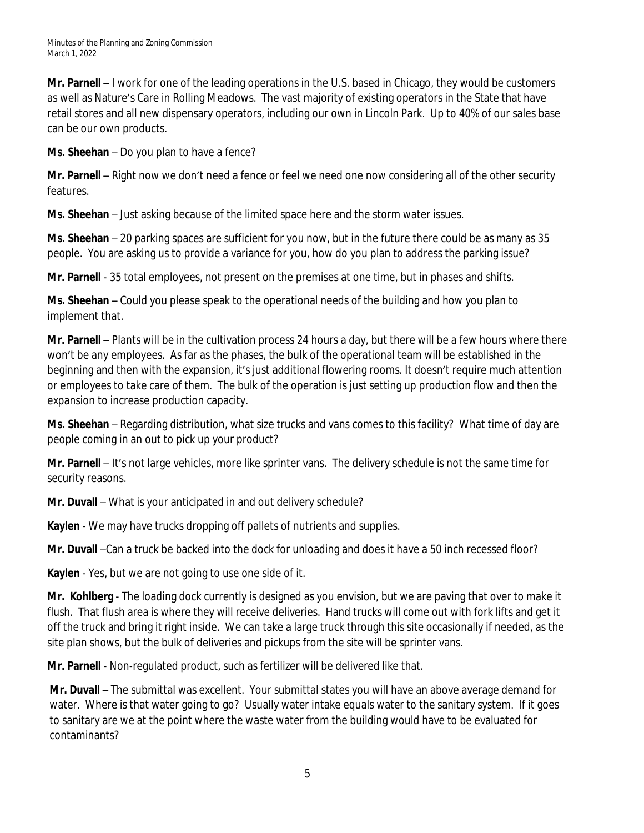**Mr. Parnell** – I work for one of the leading operations in the U.S. based in Chicago, they would be customers as well as Nature's Care in Rolling Meadows. The vast majority of existing operators in the State that have retail stores and all new dispensary operators, including our own in Lincoln Park. Up to 40% of our sales base can be our own products.

**Ms. Sheehan** – Do you plan to have a fence?

**Mr. Parnell** – Right now we don't need a fence or feel we need one now considering all of the other security features.

**Ms. Sheehan** – Just asking because of the limited space here and the storm water issues.

**Ms. Sheehan** – 20 parking spaces are sufficient for you now, but in the future there could be as many as 35 people. You are asking us to provide a variance for you, how do you plan to address the parking issue?

**Mr. Parnell** - 35 total employees, not present on the premises at one time, but in phases and shifts.

**Ms. Sheehan** – Could you please speak to the operational needs of the building and how you plan to implement that.

**Mr. Parnell** – Plants will be in the cultivation process 24 hours a day, but there will be a few hours where there won't be any employees. As far as the phases, the bulk of the operational team will be established in the beginning and then with the expansion, it's just additional flowering rooms. It doesn't require much attention or employees to take care of them. The bulk of the operation is just setting up production flow and then the expansion to increase production capacity.

**Ms. Sheehan** – Regarding distribution, what size trucks and vans comes to this facility? What time of day are people coming in an out to pick up your product?

**Mr. Parnell** – It's not large vehicles, more like sprinter vans. The delivery schedule is not the same time for security reasons.

**Mr. Duvall** – What is your anticipated in and out delivery schedule?

**Kaylen** - We may have trucks dropping off pallets of nutrients and supplies.

**Mr. Duvall** –Can a truck be backed into the dock for unloading and does it have a 50 inch recessed floor?

**Kaylen** - Yes, but we are not going to use one side of it.

**Mr. Kohlberg** - The loading dock currently is designed as you envision, but we are paving that over to make it flush. That flush area is where they will receive deliveries. Hand trucks will come out with fork lifts and get it off the truck and bring it right inside. We can take a large truck through this site occasionally if needed, as the site plan shows, but the bulk of deliveries and pickups from the site will be sprinter vans.

**Mr. Parnell** - Non-regulated product, such as fertilizer will be delivered like that.

**Mr. Duvall** – The submittal was excellent. Your submittal states you will have an above average demand for water. Where is that water going to go? Usually water intake equals water to the sanitary system. If it goes to sanitary are we at the point where the waste water from the building would have to be evaluated for contaminants?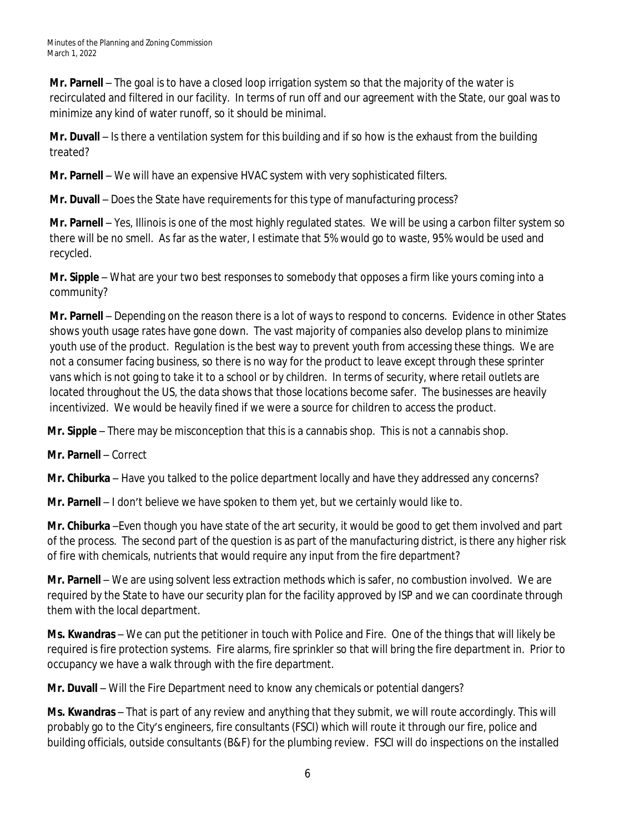**Mr. Parnell** – The goal is to have a closed loop irrigation system so that the majority of the water is recirculated and filtered in our facility. In terms of run off and our agreement with the State, our goal was to minimize any kind of water runoff, so it should be minimal.

**Mr. Duvall** – Is there a ventilation system for this building and if so how is the exhaust from the building treated?

**Mr. Parnell** – We will have an expensive HVAC system with very sophisticated filters.

**Mr. Duvall** – Does the State have requirements for this type of manufacturing process?

**Mr. Parnell** – Yes, Illinois is one of the most highly regulated states. We will be using a carbon filter system so there will be no smell. As far as the water, I estimate that 5% would go to waste, 95% would be used and recycled.

**Mr. Sipple** – What are your two best responses to somebody that opposes a firm like yours coming into a community?

**Mr. Parnell** – Depending on the reason there is a lot of ways to respond to concerns. Evidence in other States shows youth usage rates have gone down. The vast majority of companies also develop plans to minimize youth use of the product. Regulation is the best way to prevent youth from accessing these things. We are not a consumer facing business, so there is no way for the product to leave except through these sprinter vans which is not going to take it to a school or by children. In terms of security, where retail outlets are located throughout the US, the data shows that those locations become safer. The businesses are heavily incentivized. We would be heavily fined if we were a source for children to access the product.

**Mr. Sipple** – There may be misconception that this is a cannabis shop. This is not a cannabis shop.

**Mr. Parnell** – Correct

**Mr. Chiburka** – Have you talked to the police department locally and have they addressed any concerns?

**Mr. Parnell** – I don't believe we have spoken to them yet, but we certainly would like to.

**Mr. Chiburka** –Even though you have state of the art security, it would be good to get them involved and part of the process. The second part of the question is as part of the manufacturing district, is there any higher risk of fire with chemicals, nutrients that would require any input from the fire department?

**Mr. Parnell** – We are using solvent less extraction methods which is safer, no combustion involved. We are required by the State to have our security plan for the facility approved by ISP and we can coordinate through them with the local department.

**Ms. Kwandras** – We can put the petitioner in touch with Police and Fire. One of the things that will likely be required is fire protection systems. Fire alarms, fire sprinkler so that will bring the fire department in. Prior to occupancy we have a walk through with the fire department.

**Mr. Duvall** – Will the Fire Department need to know any chemicals or potential dangers?

**Ms. Kwandras** – That is part of any review and anything that they submit, we will route accordingly. This will probably go to the City's engineers, fire consultants (FSCI) which will route it through our fire, police and building officials, outside consultants (B&F) for the plumbing review. FSCI will do inspections on the installed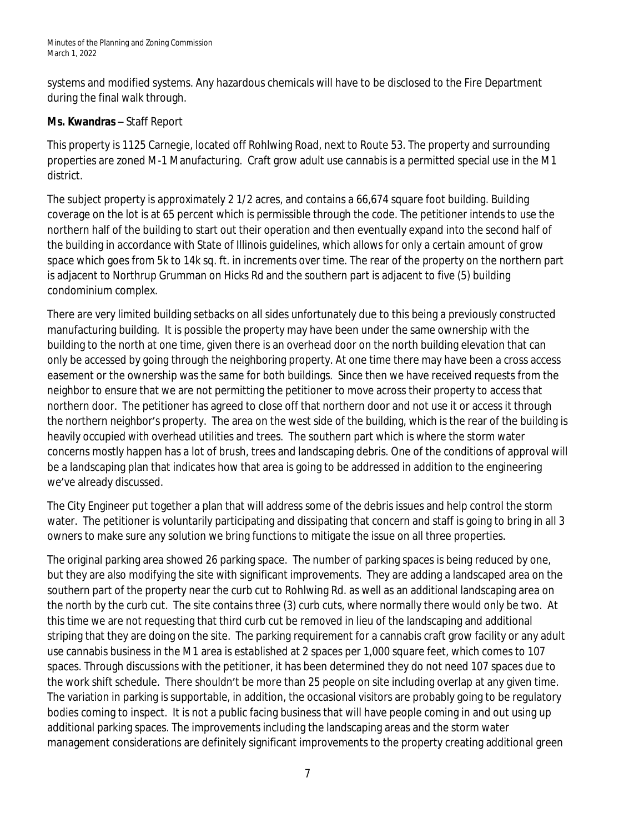systems and modified systems. Any hazardous chemicals will have to be disclosed to the Fire Department during the final walk through.

# **Ms. Kwandras** – Staff Report

This property is 1125 Carnegie, located off Rohlwing Road, next to Route 53. The property and surrounding properties are zoned M-1 Manufacturing. Craft grow adult use cannabis is a permitted special use in the M1 district.

The subject property is approximately 2 1/2 acres, and contains a 66,674 square foot building. Building coverage on the lot is at 65 percent which is permissible through the code. The petitioner intends to use the northern half of the building to start out their operation and then eventually expand into the second half of the building in accordance with State of Illinois guidelines, which allows for only a certain amount of grow space which goes from 5k to 14k sq. ft. in increments over time. The rear of the property on the northern part is adjacent to Northrup Grumman on Hicks Rd and the southern part is adjacent to five (5) building condominium complex.

There are very limited building setbacks on all sides unfortunately due to this being a previously constructed manufacturing building. It is possible the property may have been under the same ownership with the building to the north at one time, given there is an overhead door on the north building elevation that can only be accessed by going through the neighboring property. At one time there may have been a cross access easement or the ownership was the same for both buildings. Since then we have received requests from the neighbor to ensure that we are not permitting the petitioner to move across their property to access that northern door. The petitioner has agreed to close off that northern door and not use it or access it through the northern neighbor's property. The area on the west side of the building, which is the rear of the building is heavily occupied with overhead utilities and trees. The southern part which is where the storm water concerns mostly happen has a lot of brush, trees and landscaping debris. One of the conditions of approval will be a landscaping plan that indicates how that area is going to be addressed in addition to the engineering we've already discussed.

The City Engineer put together a plan that will address some of the debris issues and help control the storm water. The petitioner is voluntarily participating and dissipating that concern and staff is going to bring in all 3 owners to make sure any solution we bring functions to mitigate the issue on all three properties.

The original parking area showed 26 parking space. The number of parking spaces is being reduced by one, but they are also modifying the site with significant improvements. They are adding a landscaped area on the southern part of the property near the curb cut to Rohlwing Rd. as well as an additional landscaping area on the north by the curb cut. The site contains three (3) curb cuts, where normally there would only be two. At this time we are not requesting that third curb cut be removed in lieu of the landscaping and additional striping that they are doing on the site. The parking requirement for a cannabis craft grow facility or any adult use cannabis business in the M1 area is established at 2 spaces per 1,000 square feet, which comes to 107 spaces. Through discussions with the petitioner, it has been determined they do not need 107 spaces due to the work shift schedule. There shouldn't be more than 25 people on site including overlap at any given time. The variation in parking is supportable, in addition, the occasional visitors are probably going to be regulatory bodies coming to inspect. It is not a public facing business that will have people coming in and out using up additional parking spaces. The improvements including the landscaping areas and the storm water management considerations are definitely significant improvements to the property creating additional green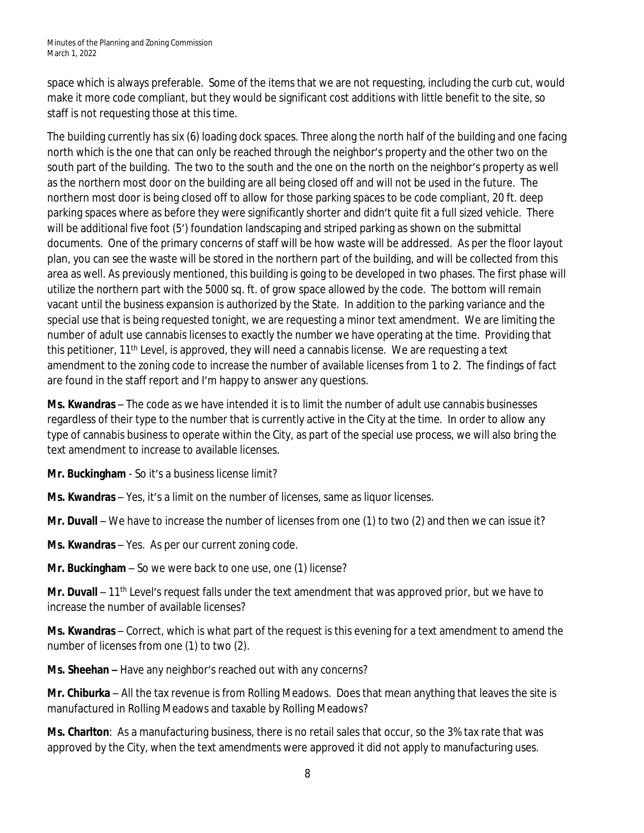space which is always preferable. Some of the items that we are not requesting, including the curb cut, would make it more code compliant, but they would be significant cost additions with little benefit to the site, so staff is not requesting those at this time.

The building currently has six (6) loading dock spaces. Three along the north half of the building and one facing north which is the one that can only be reached through the neighbor's property and the other two on the south part of the building. The two to the south and the one on the north on the neighbor's property as well as the northern most door on the building are all being closed off and will not be used in the future. The northern most door is being closed off to allow for those parking spaces to be code compliant, 20 ft. deep parking spaces where as before they were significantly shorter and didn't quite fit a full sized vehicle. There will be additional five foot (5') foundation landscaping and striped parking as shown on the submittal documents. One of the primary concerns of staff will be how waste will be addressed. As per the floor layout plan, you can see the waste will be stored in the northern part of the building, and will be collected from this area as well. As previously mentioned, this building is going to be developed in two phases. The first phase will utilize the northern part with the 5000 sq. ft. of grow space allowed by the code. The bottom will remain vacant until the business expansion is authorized by the State. In addition to the parking variance and the special use that is being requested tonight, we are requesting a minor text amendment. We are limiting the number of adult use cannabis licenses to exactly the number we have operating at the time. Providing that this petitioner, 11th Level, is approved, they will need a cannabis license. We are requesting a text amendment to the zoning code to increase the number of available licenses from 1 to 2. The findings of fact are found in the staff report and I'm happy to answer any questions.

**Ms. Kwandras** – The code as we have intended it is to limit the number of adult use cannabis businesses regardless of their type to the number that is currently active in the City at the time. In order to allow any type of cannabis business to operate within the City, as part of the special use process, we will also bring the text amendment to increase to available licenses.

**Mr. Buckingham** - So it's a business license limit?

**Ms. Kwandras** – Yes, it's a limit on the number of licenses, same as liquor licenses.

**Mr. Duvall** – We have to increase the number of licenses from one (1) to two (2) and then we can issue it?

**Ms. Kwandras** – Yes. As per our current zoning code.

**Mr. Buckingham** – So we were back to one use, one (1) license?

Mr. Duvall – 11<sup>th</sup> Level's request falls under the text amendment that was approved prior, but we have to increase the number of available licenses?

**Ms. Kwandras** – Correct, which is what part of the request is this evening for a text amendment to amend the number of licenses from one (1) to two (2).

**Ms. Sheehan –** Have any neighbor's reached out with any concerns?

**Mr. Chiburka** – All the tax revenue is from Rolling Meadows. Does that mean anything that leaves the site is manufactured in Rolling Meadows and taxable by Rolling Meadows?

**Ms. Charlton**: As a manufacturing business, there is no retail sales that occur, so the 3% tax rate that was approved by the City, when the text amendments were approved it did not apply to manufacturing uses.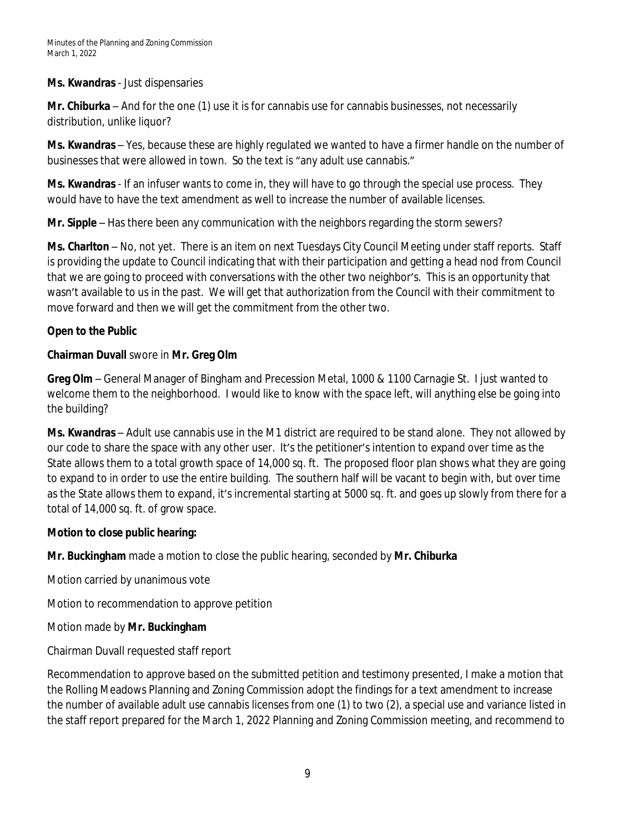## **Ms. Kwandras** - Just dispensaries

**Mr. Chiburka** – And for the one (1) use it is for cannabis use for cannabis businesses, not necessarily distribution, unlike liquor?

**Ms. Kwandras** – Yes, because these are highly regulated we wanted to have a firmer handle on the number of businesses that were allowed in town. So the text is "any adult use cannabis."

**Ms. Kwandras** - If an infuser wants to come in, they will have to go through the special use process. They would have to have the text amendment as well to increase the number of available licenses.

**Mr. Sipple** – Has there been any communication with the neighbors regarding the storm sewers?

**Ms. Charlton** – No, not yet. There is an item on next Tuesdays City Council Meeting under staff reports. Staff is providing the update to Council indicating that with their participation and getting a head nod from Council that we are going to proceed with conversations with the other two neighbor's. This is an opportunity that wasn't available to us in the past. We will get that authorization from the Council with their commitment to move forward and then we will get the commitment from the other two.

## **Open to the Public**

# **Chairman Duvall** swore in **Mr. Greg Olm**

**Greg Olm** – General Manager of Bingham and Precession Metal, 1000 & 1100 Carnagie St. I just wanted to welcome them to the neighborhood. I would like to know with the space left, will anything else be going into the building?

**Ms. Kwandras** – Adult use cannabis use in the M1 district are required to be stand alone. They not allowed by our code to share the space with any other user. It's the petitioner's intention to expand over time as the State allows them to a total growth space of 14,000 sq. ft. The proposed floor plan shows what they are going to expand to in order to use the entire building. The southern half will be vacant to begin with, but over time as the State allows them to expand, it's incremental starting at 5000 sq. ft. and goes up slowly from there for a total of 14,000 sq. ft. of grow space.

## **Motion to close public hearing:**

**Mr. Buckingham** made a motion to close the public hearing, seconded by **Mr. Chiburka**

Motion carried by unanimous vote

Motion to recommendation to approve petition

# Motion made by **Mr. Buckingham**

Chairman Duvall requested staff report

Recommendation to approve based on the submitted petition and testimony presented, I make a motion that the Rolling Meadows Planning and Zoning Commission adopt the findings for a text amendment to increase the number of available adult use cannabis licenses from one (1) to two (2), a special use and variance listed in the staff report prepared for the March 1, 2022 Planning and Zoning Commission meeting, and recommend to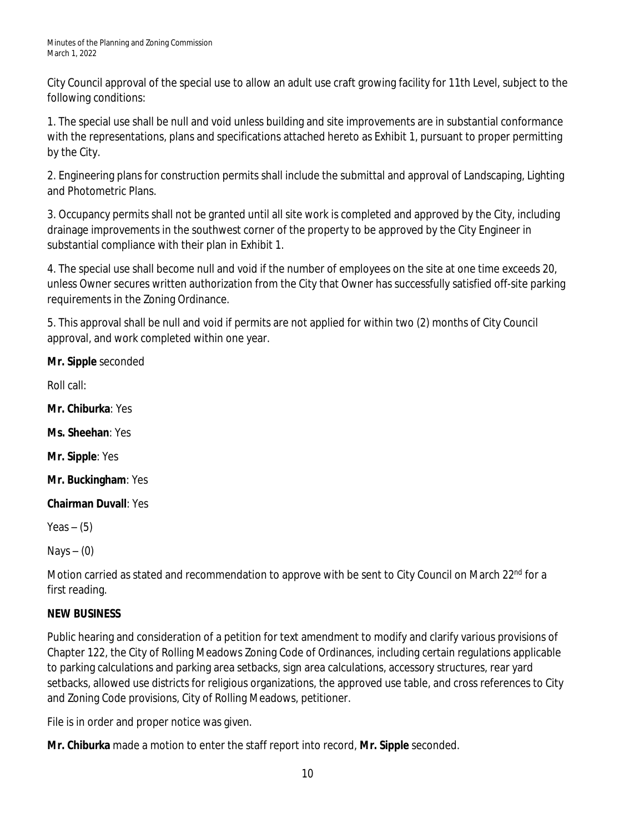City Council approval of the special use to allow an adult use craft growing facility for 11th Level, subject to the following conditions:

1. The special use shall be null and void unless building and site improvements are in substantial conformance with the representations, plans and specifications attached hereto as Exhibit 1, pursuant to proper permitting by the City.

2. Engineering plans for construction permits shall include the submittal and approval of Landscaping, Lighting and Photometric Plans.

3. Occupancy permits shall not be granted until all site work is completed and approved by the City, including drainage improvements in the southwest corner of the property to be approved by the City Engineer in substantial compliance with their plan in Exhibit 1.

4. The special use shall become null and void if the number of employees on the site at one time exceeds 20, unless Owner secures written authorization from the City that Owner has successfully satisfied off-site parking requirements in the Zoning Ordinance.

5. This approval shall be null and void if permits are not applied for within two (2) months of City Council approval, and work completed within one year.

**Mr. Sipple** seconded

Roll call:

**Mr. Chiburka**: Yes

**Ms. Sheehan**: Yes

**Mr. Sipple**: Yes

**Mr. Buckingham**: Yes

**Chairman Duvall**: Yes

Yeas  $-$  (5)

Nays  $-$  (0)

Motion carried as stated and recommendation to approve with be sent to City Council on March 22<sup>nd</sup> for a first reading.

# **NEW BUSINESS**

Public hearing and consideration of a petition for text amendment to modify and clarify various provisions of Chapter 122, the City of Rolling Meadows Zoning Code of Ordinances, including certain regulations applicable to parking calculations and parking area setbacks, sign area calculations, accessory structures, rear yard setbacks, allowed use districts for religious organizations, the approved use table, and cross references to City and Zoning Code provisions, City of Rolling Meadows, petitioner.

File is in order and proper notice was given.

**Mr. Chiburka** made a motion to enter the staff report into record, **Mr. Sipple** seconded.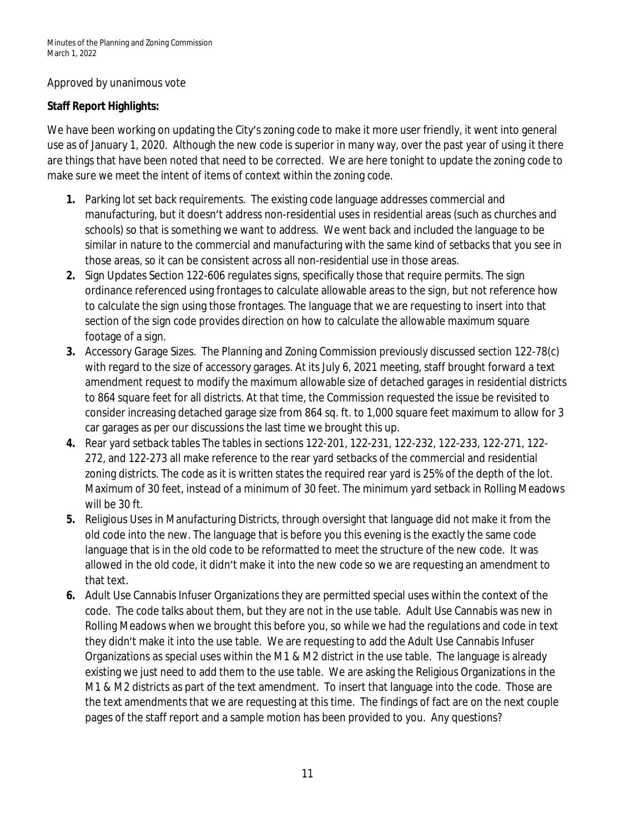## Approved by unanimous vote

## **Staff Report Highlights:**

We have been working on updating the City's zoning code to make it more user friendly, it went into general use as of January 1, 2020. Although the new code is superior in many way, over the past year of using it there are things that have been noted that need to be corrected. We are here tonight to update the zoning code to make sure we meet the intent of items of context within the zoning code.

- **1.** Parking lot set back requirements. The existing code language addresses commercial and manufacturing, but it doesn't address non-residential uses in residential areas (such as churches and schools) so that is something we want to address. We went back and included the language to be similar in nature to the commercial and manufacturing with the same kind of setbacks that you see in those areas, so it can be consistent across all non-residential use in those areas.
- **2.** Sign Updates Section 122-606 regulates signs, specifically those that require permits. The sign ordinance referenced using frontages to calculate allowable areas to the sign, but not reference how to calculate the sign using those frontages. The language that we are requesting to insert into that section of the sign code provides direction on how to calculate the allowable maximum square footage of a sign.
- **3.** Accessory Garage Sizes. The Planning and Zoning Commission previously discussed section 122-78(c) with regard to the size of accessory garages. At its July 6, 2021 meeting, staff brought forward a text amendment request to modify the maximum allowable size of detached garages in residential districts to 864 square feet for all districts. At that time, the Commission requested the issue be revisited to consider increasing detached garage size from 864 sq. ft. to 1,000 square feet maximum to allow for 3 car garages as per our discussions the last time we brought this up.
- **4.** Rear yard setback tables The tables in sections 122-201, 122-231, 122-232, 122-233, 122-271, 122- 272, and 122-273 all make reference to the rear yard setbacks of the commercial and residential zoning districts. The code as it is written states the required rear yard is 25% of the depth of the lot. Maximum of 30 feet, instead of a minimum of 30 feet. The minimum yard setback in Rolling Meadows will be 30 ft.
- **5.** Religious Uses in Manufacturing Districts, through oversight that language did not make it from the old code into the new. The language that is before you this evening is the exactly the same code language that is in the old code to be reformatted to meet the structure of the new code. It was allowed in the old code, it didn't make it into the new code so we are requesting an amendment to that text.
- **6.** Adult Use Cannabis Infuser Organizations they are permitted special uses within the context of the code. The code talks about them, but they are not in the use table. Adult Use Cannabis was new in Rolling Meadows when we brought this before you, so while we had the regulations and code in text they didn't make it into the use table. We are requesting to add the Adult Use Cannabis Infuser Organizations as special uses within the M1 & M2 district in the use table. The language is already existing we just need to add them to the use table. We are asking the Religious Organizations in the M1 & M2 districts as part of the text amendment. To insert that language into the code. Those are the text amendments that we are requesting at this time. The findings of fact are on the next couple pages of the staff report and a sample motion has been provided to you. Any questions?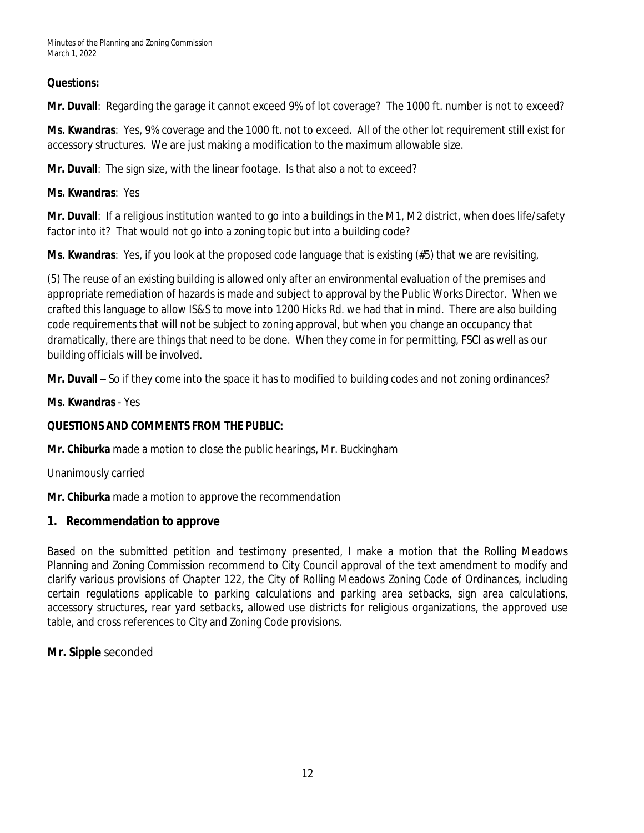## **Questions:**

**Mr. Duvall**: Regarding the garage it cannot exceed 9% of lot coverage? The 1000 ft. number is not to exceed?

**Ms. Kwandras**: Yes, 9% coverage and the 1000 ft. not to exceed. All of the other lot requirement still exist for accessory structures. We are just making a modification to the maximum allowable size.

**Mr. Duvall**: The sign size, with the linear footage. Is that also a not to exceed?

## **Ms. Kwandras**: Yes

**Mr. Duvall**: If a religious institution wanted to go into a buildings in the M1, M2 district, when does life/safety factor into it? That would not go into a zoning topic but into a building code?

**Ms. Kwandras**: Yes, if you look at the proposed code language that is existing (#5) that we are revisiting,

(5) The reuse of an existing building is allowed only after an environmental evaluation of the premises and appropriate remediation of hazards is made and subject to approval by the Public Works Director. When we crafted this language to allow IS&S to move into 1200 Hicks Rd. we had that in mind. There are also building code requirements that will not be subject to zoning approval, but when you change an occupancy that dramatically, there are things that need to be done. When they come in for permitting, FSCI as well as our building officials will be involved.

**Mr. Duvall** – So if they come into the space it has to modified to building codes and not zoning ordinances?

## **Ms. Kwandras** - Yes

## **QUESTIONS AND COMMENTS FROM THE PUBLIC:**

**Mr. Chiburka** made a motion to close the public hearings, Mr. Buckingham

Unanimously carried

**Mr. Chiburka** made a motion to approve the recommendation

# **1. Recommendation to approve**

Based on the submitted petition and testimony presented, I make a motion that the Rolling Meadows Planning and Zoning Commission recommend to City Council approval of the text amendment to modify and clarify various provisions of Chapter 122, the City of Rolling Meadows Zoning Code of Ordinances, including certain regulations applicable to parking calculations and parking area setbacks, sign area calculations, accessory structures, rear yard setbacks, allowed use districts for religious organizations, the approved use table, and cross references to City and Zoning Code provisions.

# **Mr. Sipple** seconded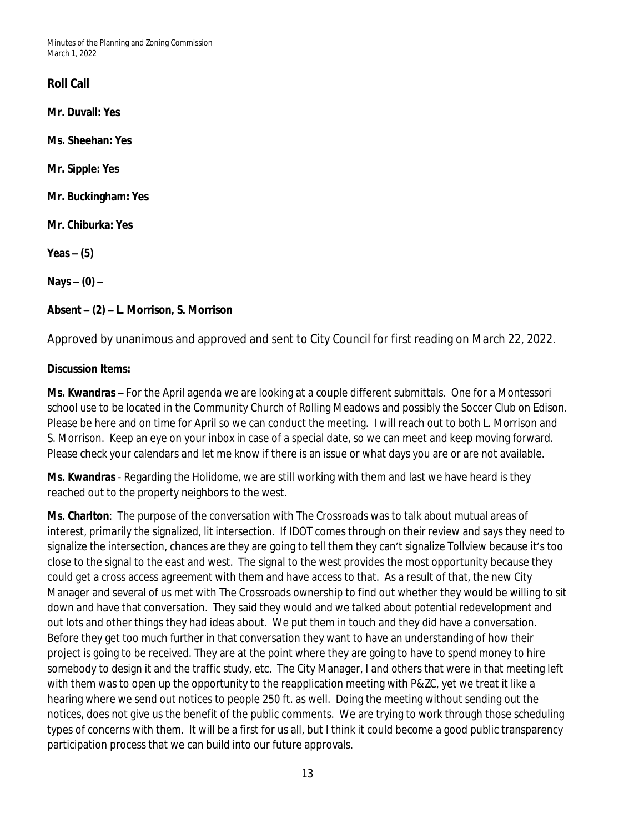Minutes of the Planning and Zoning Commission March 1, 2022

# **Roll Call**

**Mr. Duvall: Yes**

**Ms. Sheehan: Yes**

**Mr. Sipple: Yes**

**Mr. Buckingham: Yes**

**Mr. Chiburka: Yes**

**Yeas – (5)**

**Nays – (0) –**

## **Absent – (2) – L. Morrison, S. Morrison**

Approved by unanimous and approved and sent to City Council for first reading on March 22, 2022.

#### **Discussion Items:**

**Ms. Kwandras** – For the April agenda we are looking at a couple different submittals. One for a Montessori school use to be located in the Community Church of Rolling Meadows and possibly the Soccer Club on Edison. Please be here and on time for April so we can conduct the meeting. I will reach out to both L. Morrison and S. Morrison. Keep an eye on your inbox in case of a special date, so we can meet and keep moving forward. Please check your calendars and let me know if there is an issue or what days you are or are not available.

**Ms. Kwandras** - Regarding the Holidome, we are still working with them and last we have heard is they reached out to the property neighbors to the west.

**Ms. Charlton**: The purpose of the conversation with The Crossroads was to talk about mutual areas of interest, primarily the signalized, lit intersection. If IDOT comes through on their review and says they need to signalize the intersection, chances are they are going to tell them they can't signalize Tollview because it's too close to the signal to the east and west. The signal to the west provides the most opportunity because they could get a cross access agreement with them and have access to that. As a result of that, the new City Manager and several of us met with The Crossroads ownership to find out whether they would be willing to sit down and have that conversation. They said they would and we talked about potential redevelopment and out lots and other things they had ideas about. We put them in touch and they did have a conversation. Before they get too much further in that conversation they want to have an understanding of how their project is going to be received. They are at the point where they are going to have to spend money to hire somebody to design it and the traffic study, etc. The City Manager, I and others that were in that meeting left with them was to open up the opportunity to the reapplication meeting with P&ZC, yet we treat it like a hearing where we send out notices to people 250 ft. as well. Doing the meeting without sending out the notices, does not give us the benefit of the public comments. We are trying to work through those scheduling types of concerns with them. It will be a first for us all, but I think it could become a good public transparency participation process that we can build into our future approvals.